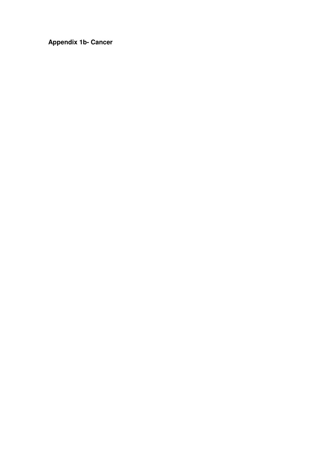**Appendix 1b- Cancer**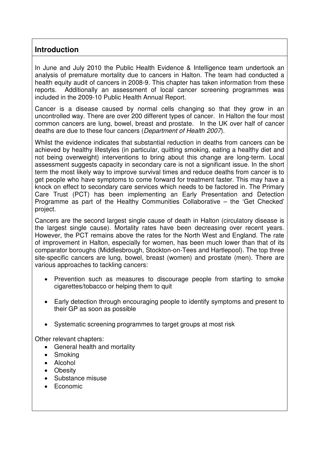# **Introduction**

In June and July 2010 the Public Health Evidence & Intelligence team undertook an analysis of premature mortality due to cancers in Halton. The team had conducted a health equity audit of cancers in 2008-9. This chapter has taken information from these reports. Additionally an assessment of local cancer screening programmes was included in the 2009-10 Public Health Annual Report.

Cancer is a disease caused by normal cells changing so that they grow in an uncontrolled way. There are over 200 different types of cancer. In Halton the four most common cancers are lung, bowel, breast and prostate. In the UK over half of cancer deaths are due to these four cancers (Department of Health 2007).

Whilst the evidence indicates that substantial reduction in deaths from cancers can be achieved by healthy lifestyles (in particular, quitting smoking, eating a healthy diet and not being overweight) interventions to bring about this change are long-term. Local assessment suggests capacity in secondary care is not a significant issue. In the short term the most likely way to improve survival times and reduce deaths from cancer is to get people who have symptoms to come forward for treatment faster. This may have a knock on effect to secondary care services which needs to be factored in. The Primary Care Trust (PCT) has been implementing an Early Presentation and Detection Programme as part of the Healthy Communities Collaborative – the 'Get Checked' project.

Cancers are the second largest single cause of death in Halton (circulatory disease is the largest single cause). Mortality rates have been decreasing over recent years. However, the PCT remains above the rates for the North West and England. The rate of improvement in Halton, especially for women, has been much lower than that of its comparator boroughs (Middlesbrough, Stockton-on-Tees and Hartlepool). The top three site-specific cancers are lung, bowel, breast (women) and prostate (men). There are various approaches to tackling cancers:

- Prevention such as measures to discourage people from starting to smoke cigarettes/tobacco or helping them to quit
- Early detection through encouraging people to identify symptoms and present to their GP as soon as possible
- Systematic screening programmes to target groups at most risk

Other relevant chapters:

- General health and mortality
- Smoking
- Alcohol
- Obesity
- Substance misuse
- Economic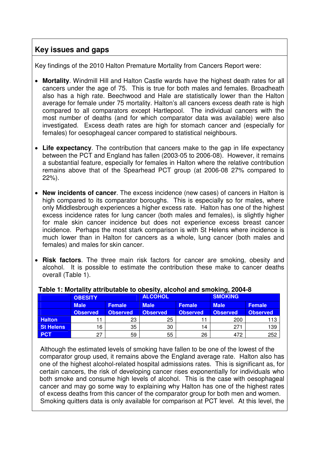# **Key issues and gaps**

Key findings of the 2010 Halton Premature Mortality from Cancers Report were:

- **Mortality**. Windmill Hill and Halton Castle wards have the highest death rates for all cancers under the age of 75. This is true for both males and females. Broadheath also has a high rate. Beechwood and Hale are statistically lower than the Halton average for female under 75 mortality. Halton's all cancers excess death rate is high compared to all comparators except Hartlepool. The individual cancers with the most number of deaths (and for which comparator data was available) were also investigated. Excess death rates are high for stomach cancer and (especially for females) for oesophageal cancer compared to statistical neighbours.
- **Life expectancy**. The contribution that cancers make to the gap in life expectancy between the PCT and England has fallen (2003-05 to 2006-08). However, it remains a substantial feature, especially for females in Halton where the relative contribution remains above that of the Spearhead PCT group (at 2006-08 27% compared to 22%).
- **New incidents of cancer**. The excess incidence (new cases) of cancers in Halton is high compared to its comparator boroughs. This is especially so for males, where only Middlesbrough experiences a higher excess rate. Halton has one of the highest excess incidence rates for lung cancer (both males and females), is slightly higher for male skin cancer incidence but does not experience excess breast cancer incidence. Perhaps the most stark comparison is with St Helens where incidence is much lower than in Halton for cancers as a whole, lung cancer (both males and females) and males for skin cancer.
- **Risk factors**. The three main risk factors for cancer are smoking, obesity and alcohol. It is possible to estimate the contribution these make to cancer deaths overall (Table 1).

|                  | <b>OBESITY</b>  |               | <b>ALCOHOL</b> |               | <b>SMOKING</b> |                 |
|------------------|-----------------|---------------|----------------|---------------|----------------|-----------------|
|                  | <b>Male</b>     | <b>Female</b> | <b>Male</b>    | <b>Female</b> | <b>Male</b>    | <b>Female</b>   |
|                  | <b>Observed</b> | Observed      | Observed       | Observed      | Observed       | <b>Observed</b> |
| <b>Halton</b>    |                 | 23            | 25             |               | 200            | 113             |
| <b>St Helens</b> | 16              | 35            | 30             | 14            | 271            | 139             |
| <b>PCT</b>       | 27              | 59            | 55             | 26            | 472            | 252             |

#### **Table 1: Mortality attributable to obesity, alcohol and smoking, 2004-8**

 Although the estimated levels of smoking have fallen to be one of the lowest of the comparator group used, it remains above the England average rate. Halton also has one of the highest alcohol-related hospital admissions rates. This is significant as, for certain cancers, the risk of developing cancer rises exponentially for individuals who both smoke and consume high levels of alcohol. This is the case with oesophageal cancer and may go some way to explaining why Halton has one of the highest rates of excess deaths from this cancer of the comparator group for both men and women. Smoking quitters data is only available for comparison at PCT level. At this level, the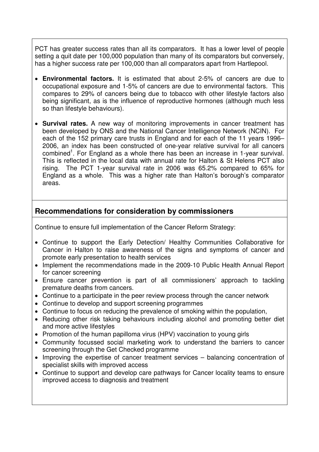PCT has greater success rates than all its comparators. It has a lower level of people setting a quit date per 100,000 population than many of its comparators but conversely, has a higher success rate per 100,000 than all comparators apart from Hartlepool.

- **Environmental factors.** It is estimated that about 2-5% of cancers are due to occupational exposure and 1-5% of cancers are due to environmental factors. This compares to 29% of cancers being due to tobacco with other lifestyle factors also being significant, as is the influence of reproductive hormones (although much less so than lifestyle behaviours).
- **Survival rates.** A new way of monitoring improvements in cancer treatment has been developed by ONS and the National Cancer Intelligence Network (NCIN). For each of the 152 primary care trusts in England and for each of the 11 years 1996– 2006, an index has been constructed of one-year relative survival for all cancers combined<sup>1</sup>. For England as a whole there has been an increase in 1-year survival. This is reflected in the local data with annual rate for Halton & St Helens PCT also rising. The PCT 1-year survival rate in 2006 was 65.2% compared to 65% for England as a whole. This was a higher rate than Halton's borough's comparator areas.

# **Recommendations for consideration by commissioners**

Continue to ensure full implementation of the Cancer Reform Strategy:

- Continue to support the Early Detection/ Healthy Communities Collaborative for Cancer in Halton to raise awareness of the signs and symptoms of cancer and promote early presentation to health services
- Implement the recommendations made in the 2009-10 Public Health Annual Report for cancer screening
- Ensure cancer prevention is part of all commissioners' approach to tackling premature deaths from cancers.
- Continue to a participate in the peer review process through the cancer network
- Continue to develop and support screening programmes
- Continue to focus on reducing the prevalence of smoking within the population,
- Reducing other risk taking behaviours including alcohol and promoting better diet and more active lifestyles
- Promotion of the human papilloma virus (HPV) vaccination to young girls
- Community focussed social marketing work to understand the barriers to cancer screening through the Get Checked programme
- Improving the expertise of cancer treatment services balancing concentration of specialist skills with improved access
- Continue to support and develop care pathways for Cancer locality teams to ensure improved access to diagnosis and treatment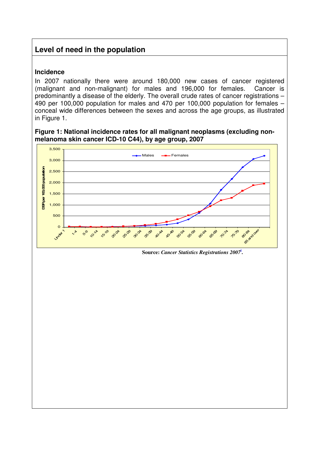# **Level of need in the population**

#### **Incidence**

In 2007 nationally there were around 180,000 new cases of cancer registered (malignant and non-malignant) for males and 196,000 for females. Cancer is predominantly a disease of the elderly. The overall crude rates of cancer registrations – 490 per 100,000 population for males and 470 per 100,000 population for females – conceal wide differences between the sexes and across the age groups, as illustrated in Figure 1.

#### **Figure 1: National incidence rates for all malignant neoplasms (excluding nonmelanoma skin cancer ICD-10 C44), by age group, 2007**

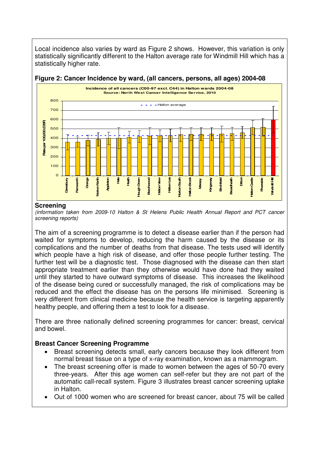Local incidence also varies by ward as Figure 2 shows. However, this variation is only statistically significantly different to the Halton average rate for Windmill Hill which has a statistically higher rate.

#### **Incidence of all cancers (C00-97 excl. C44) in Halton wards 2004-08 Source: North West Cancer Intelligence Service, 2010**  800  $- -$  - Halton average 700 600 **Rate per 100,000 (DSR)** per 100,000 (DBF) 500 400 300 **Rate** 200 100  $\Omega$ **Ditton** Ī **Norton North Hale Heath Halton Lea Norton South Halton Brook Hatton Castle Halton Castle Daresbury Grange Hough Green Beechwood Halton View Hiton** Brook **Birchfield Broadheath Riverside Windmill Hill Appleton Mersey Kingsway Farnworth** Mndmill

#### **Figure 2: Cancer Incidence by ward, (all cancers, persons, all ages) 2004-08**

#### **Screening**

(information taken from 2009-10 Halton & St Helens Public Health Annual Report and PCT cancer screening reports)

The aim of a screening programme is to detect a disease earlier than if the person had waited for symptoms to develop, reducing the harm caused by the disease or its complications and the number of deaths from that disease. The tests used will identify which people have a high risk of disease, and offer those people further testing. The further test will be a diagnostic test. Those diagnosed with the disease can then start appropriate treatment earlier than they otherwise would have done had they waited until they started to have outward symptoms of disease. This increases the likelihood of the disease being cured or successfully managed, the risk of complications may be reduced and the effect the disease has on the persons life minimised. Screening is very different from clinical medicine because the health service is targeting apparently healthy people, and offering them a test to look for a disease.

There are three nationally defined screening programmes for cancer: breast, cervical and bowel.

#### **Breast Cancer Screening Programme**

- Breast screening detects small, early cancers because they look different from normal breast tissue on a type of x-ray examination, known as a mammogram.
- The breast screening offer is made to women between the ages of 50-70 every three-years. After this age women can self-refer but they are not part of the automatic call-recall system. Figure 3 illustrates breast cancer screening uptake in Halton.
- Out of 1000 women who are screened for breast cancer, about 75 will be called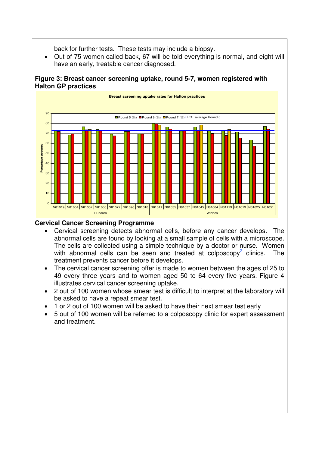back for further tests. These tests may include a biopsy.

• Out of 75 women called back, 67 will be told everything is normal, and eight will have an early, treatable cancer diagnosed.

#### **Figure 3: Breast cancer screening uptake, round 5-7, women registered with Halton GP practices**



## **Cervical Cancer Screening Programme**

- Cervical screening detects abnormal cells, before any cancer develops. The abnormal cells are found by looking at a small sample of cells with a microscope. The cells are collected using a simple technique by a doctor or nurse. Women with abnormal cells can be seen and treated at colposcopy<sup>2</sup> clinics. The treatment prevents cancer before it develops.
- The cervical cancer screening offer is made to women between the ages of 25 to 49 every three years and to women aged 50 to 64 every five years. Figure 4 illustrates cervical cancer screening uptake.
- 2 out of 100 women whose smear test is difficult to interpret at the laboratory will be asked to have a repeat smear test.
- 1 or 2 out of 100 women will be asked to have their next smear test early
- 5 out of 100 women will be referred to a colposcopy clinic for expert assessment and treatment.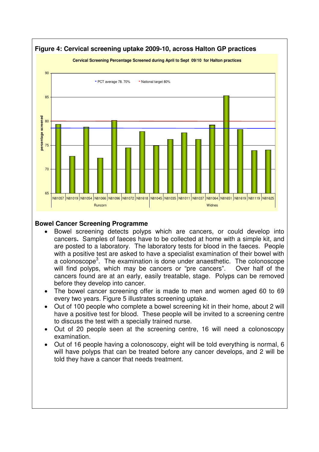

## **Bowel Cancer Screening Programme**

- Bowel screening detects polyps which are cancers, or could develop into cancers**.** Samples of faeces have to be collected at home with a simple kit, and are posted to a laboratory. The laboratory tests for blood in the faeces. People with a positive test are asked to have a specialist examination of their bowel with a colonoscope<sup>3</sup>. The examination is done under anaesthetic. The colonoscope will find polyps, which may be cancers or "pre cancers". Over half of the cancers found are at an early, easily treatable, stage. Polyps can be removed before they develop into cancer.
- The bowel cancer screening offer is made to men and women aged 60 to 69 every two years. Figure 5 illustrates screening uptake.
- Out of 100 people who complete a bowel screening kit in their home, about 2 will have a positive test for blood. These people will be invited to a screening centre to discuss the test with a specially trained nurse.
- Out of 20 people seen at the screening centre, 16 will need a colonoscopy examination.
- Out of 16 people having a colonoscopy, eight will be told everything is normal, 6 will have polyps that can be treated before any cancer develops, and 2 will be told they have a cancer that needs treatment.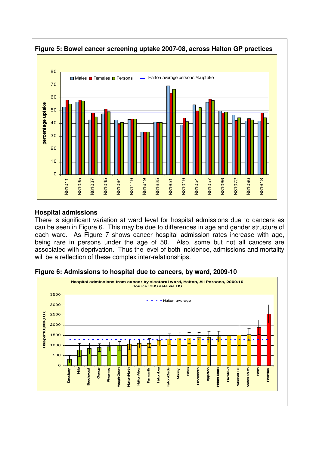

#### **Hospital admissions**

There is significant variation at ward level for hospital admissions due to cancers as can be seen in Figure 6. This may be due to differences in age and gender structure of each ward. As Figure 7 shows cancer hospital admission rates increase with age, being rare in persons under the age of 50. Also, some but not all cancers are associated with deprivation. Thus the level of both incidence, admissions and mortality will be a reflection of these complex inter-relationships.



#### **Figure 6: Admissions to hospital due to cancers, by ward, 2009-10**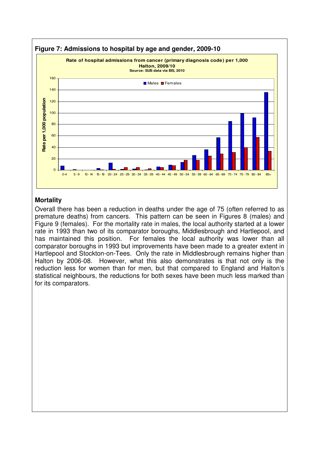

#### **Mortality**

Overall there has been a reduction in deaths under the age of 75 (often referred to as premature deaths) from cancers. This pattern can be seen in Figures 8 (males) and Figure 9 (females). For the mortality rate in males, the local authority started at a lower rate in 1993 than two of its comparator boroughs, Middlesbrough and Hartlepool, and has maintained this position. For females the local authority was lower than all comparator boroughs in 1993 but improvements have been made to a greater extent in Hartlepool and Stockton-on-Tees. Only the rate in Middlesbrough remains higher than Halton by 2006-08. However, what this also demonstrates is that not only is the reduction less for women than for men, but that compared to England and Halton's statistical neighbours, the reductions for both sexes have been much less marked than for its comparators.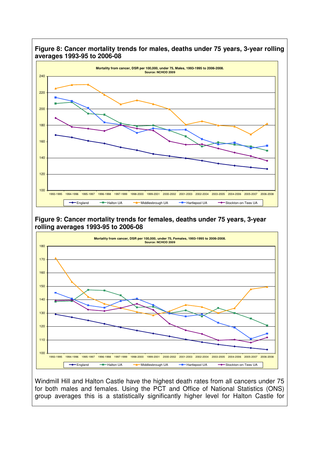

#### **Figure 8: Cancer mortality trends for males, deaths under 75 years, 3-year rolling averages 1993-95 to 2006-08**

**Figure 9: Cancer mortality trends for females, deaths under 75 years, 3-year rolling averages 1993-95 to 2006-08** 



Windmill Hill and Halton Castle have the highest death rates from all cancers under 75 for both males and females. Using the PCT and Office of National Statistics (ONS) group averages this is a statistically significantly higher level for Halton Castle for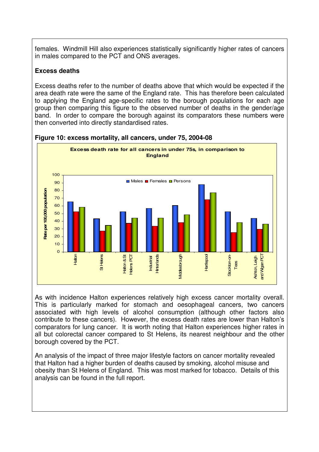females. Windmill Hill also experiences statistically significantly higher rates of cancers in males compared to the PCT and ONS averages.

### **Excess deaths**

Excess deaths refer to the number of deaths above that which would be expected if the area death rate were the same of the England rate. This has therefore been calculated to applying the England age-specific rates to the borough populations for each age group then comparing this figure to the observed number of deaths in the gender/age band. In order to compare the borough against its comparators these numbers were then converted into directly standardised rates.



#### **Figure 10: excess mortality, all cancers, under 75, 2004-08**

As with incidence Halton experiences relatively high excess cancer mortality overall. This is particularly marked for stomach and oesophageal cancers, two cancers associated with high levels of alcohol consumption (although other factors also contribute to these cancers). However, the excess death rates are lower than Halton's comparators for lung cancer. It is worth noting that Halton experiences higher rates in all but colorectal cancer compared to St Helens, its nearest neighbour and the other borough covered by the PCT.

An analysis of the impact of three major lifestyle factors on cancer mortality revealed that Halton had a higher burden of deaths caused by smoking, alcohol misuse and obesity than St Helens of England. This was most marked for tobacco. Details of this analysis can be found in the full report.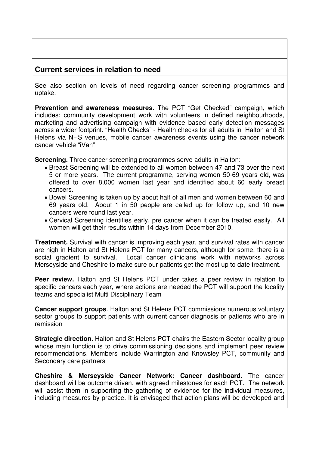# **Current services in relation to need**

See also section on levels of need regarding cancer screening programmes and uptake.

**Prevention and awareness measures.** The PCT "Get Checked" campaign, which includes: community development work with volunteers in defined neighbourhoods, marketing and advertising campaign with evidence based early detection messages across a wider footprint. "Health Checks" - Health checks for all adults in Halton and St Helens via NHS venues, mobile cancer awareness events using the cancer network cancer vehicle "iVan"

**Screening.** Three cancer screening programmes serve adults in Halton:

- Breast Screening will be extended to all women between 47 and 73 over the next 5 or more years. The current programme, serving women 50-69 years old, was offered to over 8,000 women last year and identified about 60 early breast cancers.
- Bowel Screening is taken up by about half of all men and women between 60 and 69 years old. About 1 in 50 people are called up for follow up, and 10 new cancers were found last year.
- Cervical Screening identifies early, pre cancer when it can be treated easily. All women will get their results within 14 days from December 2010.

**Treatment.** Survival with cancer is improving each year, and survival rates with cancer are high in Halton and St Helens PCT for many cancers, although for some, there is a social gradient to survival. Local cancer clinicians work with networks across Merseyside and Cheshire to make sure our patients get the most up to date treatment.

**Peer review.** Halton and St Helens PCT under takes a peer review in relation to specific cancers each year, where actions are needed the PCT will support the locality teams and specialist Multi Disciplinary Team

**Cancer support groups**. Halton and St Helens PCT commissions numerous voluntary sector groups to support patients with current cancer diagnosis or patients who are in remission

**Strategic direction.** Halton and St Helens PCT chairs the Eastern Sector locality group whose main function is to drive commissioning decisions and implement peer review recommendations. Members include Warrington and Knowsley PCT, community and Secondary care partners

**Cheshire & Merseyside Cancer Network: Cancer dashboard.** The cancer dashboard will be outcome driven, with agreed milestones for each PCT. The network will assist them in supporting the gathering of evidence for the individual measures, including measures by practice. It is envisaged that action plans will be developed and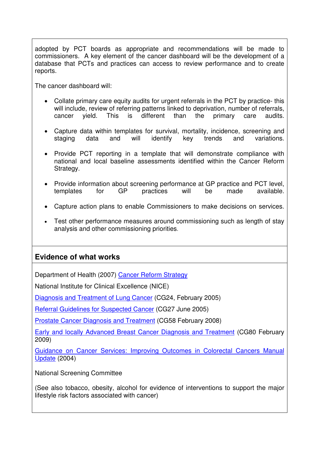adopted by PCT boards as appropriate and recommendations will be made to commissioners. A key element of the cancer dashboard will be the development of a database that PCTs and practices can access to review performance and to create reports.

The cancer dashboard will:

- Collate primary care equity audits for urgent referrals in the PCT by practice- this will include, review of referring patterns linked to deprivation, number of referrals, cancer vield. This is different than the primary care audits. cancer yield. This is different than the primary care audits.
- Capture data within templates for survival, mortality, incidence, screening and staging data and will identify key trends and variations.
- Provide PCT reporting in a template that will demonstrate compliance with national and local baseline assessments identified within the Cancer Reform Strategy.
- Provide information about screening performance at GP practice and PCT level, templates for GP practices will be made available.
- Capture action plans to enable Commissioners to make decisions on services.
- Test other performance measures around commissioning such as length of stay analysis and other commissioning priorities.

# **Evidence of what works**

Department of Health (2007) Cancer Reform Strategy

National Institute for Clinical Excellence (NICE)

Diagnosis and Treatment of Lung Cancer (CG24, February 2005)

Referral Guidelines for Suspected Cancer (CG27 June 2005)

Prostate Cancer Diagnosis and Treatment (CG58 February 2008)

Early and locally Advanced Breast Cancer Diagnosis and Treatment (CG80 February 2009)

Guidance on Cancer Services: Improving Outcomes in Colorectal Cancers Manual Update (2004)

National Screening Committee

(See also tobacco, obesity, alcohol for evidence of interventions to support the major lifestyle risk factors associated with cancer)